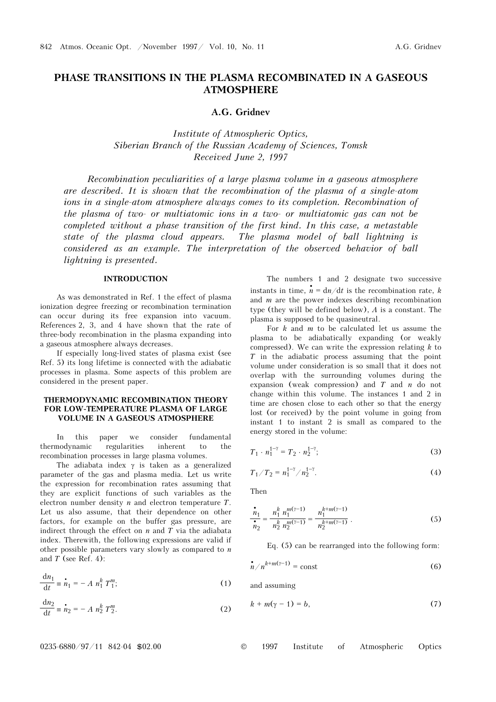# **PHASE TRANSITIONS IN THE PLASMA RECOMBINATED IN A GASEOUS ATMOSPHERE**

# **A.G. Gridnev**

*Institute of Atmospheric Optics, Siberian Branch of the Russian Academy of Sciences, Tomsk Received June 2, 1997* 

*Recombination peculiarities of a large plasma volume in a gaseous atmosphere are described. It is shown that the recombination of the plasma of a single-atom ions in a single-atom atmosphere always comes to its completion. Recombination of the plasma of two- or multiatomic ions in a two- or multiatomic gas can not be completed without a phase transition of the first kind. In this case, a metastable state of the plasma cloud appears. The plasma model of ball lightning is considered as an example. The interpretation of the observed behavior of ball lightning is presented.*

# **INTRODUCTION**

As was demonstrated in Ref. 1 the effect of plasma ionization degree freezing or recombination termination can occur during its free expansion into vacuum. References 2, 3, and 4 have shown that the rate of three-body recombination in the plasma expanding into a gaseous atmosphere always decreases.

If especially long-lived states of plasma exist (see Ref. 5) its long lifetime is connected with the adiabatic processes in plasma. Some aspects of this problem are considered in the present paper.

# **THERMODYNAMIC RECOMBINATION THEORY FOR LOW-TEMPERATURE PLASMA OF LARGE VOLUME IN A GASEOUS ATMOSPHERE**

In this paper we consider fundamental thermodynamic regularities inherent to the recombination processes in large plasma volumes.

The adiabata index  $\gamma$  is taken as a generalized parameter of the gas and plasma media. Let us write the expression for recombination rates assuming that they are explicit functions of such variables as the electron number density *n* and electron temperature *T*. Let us also assume, that their dependence on other factors, for example on the buffer gas pressure, are indirect through the effect on  $n$  and  $T$  via the adiabata index. Therewith, the following expressions are valid if other possible parameters vary slowly as compared to *n* and *T* (see Ref. 4):

$$
\frac{\mathrm{d}n_1}{\mathrm{d}t} \equiv \dot{n}_1 = -A \; n_1^k \; T_1^m; \tag{1}
$$

$$
\frac{\mathrm{d}n_2}{\mathrm{d}t} \equiv \dot{n}_2 = -A n_2^k T_2^m. \tag{2}
$$

The numbers 1 and 2 designate two successive instants in time,  $\hat{n} = \frac{d\eta}{dt}$  is the recombination rate, *k* and *m* are the power indexes describing recombination type (they will be defined below), *A* is a constant. The plasma is supposed to be quasineutral.

For *k* and *m* to be calculated let us assume the plasma to be adiabatically expanding (or weakly compressed). We can write the expression relating *k* to *T* in the adiabatic process assuming that the point volume under consideration is so small that it does not overlap with the surrounding volumes during the expansion (weak compression) and *T* and *n* do not change within this volume. The instances 1 and 2 in time are chosen close to each other so that the energy lost (or received) by the point volume in going from instant 1 to instant 2 is small as compared to the energy stored in the volume:

$$
T_1 \cdot n_1^{1-\gamma} = T_2 \cdot n_2^{1-\gamma};\tag{3}
$$

$$
T_1/T_2 = n_1^{1-\gamma}/n_2^{1-\gamma}.
$$
 (4)

Then

$$
\frac{\dot{n}_1}{\dot{n}_2} = \frac{n_1^k n_1^{m(\gamma - 1)}}{n_2^k n_2^{m(\gamma - 1)}} = \frac{n_1^{k + m(\gamma - 1)}}{n_2^{k + m(\gamma - 1)}}.
$$
\n(5)

Eq. (5) can be rearranged into the following form:

$$
n/n^{k+m(\gamma-1)} = \text{const}
$$
 (6)

and assuming

$$
k + m(\gamma - 1) = b,\tag{7}
$$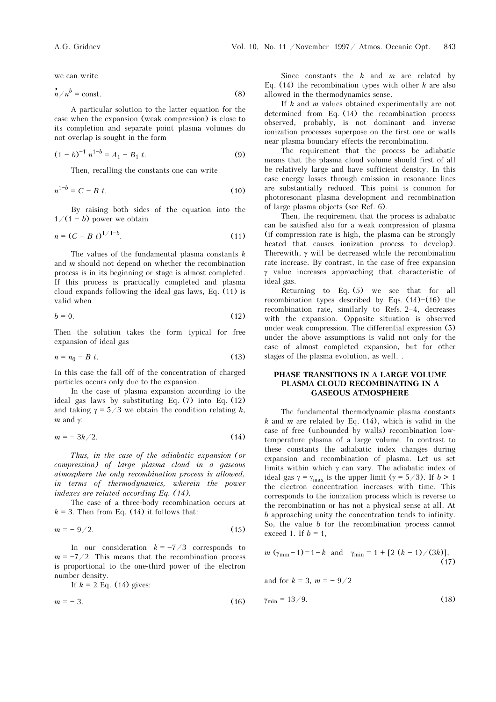$$
\dot{n}/n^b = \text{const.}\tag{8}
$$

A particular solution to the latter equation for the case when the expansion (weak compression) is close to its completion and separate point plasma volumes do not overlap is sought in the form

$$
(1-b)^{-1} n^{1-b} = A_1 - B_1 t.
$$
 (9)

Then, recalling the constants one can write

$$
n^{1-b} = C - B \ t. \tag{10}
$$

By raising both sides of the equation into the  $1/(1 - b)$  power we obtain

$$
n = (C - B t)^{1/1 - b}.
$$
 (11)

The values of the fundamental plasma constants *k* and *m* should not depend on whether the recombination process is in its beginning or stage is almost completed. If this process is practically completed and plasma cloud expands following the ideal gas laws, Eq. (11) is valid when

$$
b = 0.\t(12)
$$

Then the solution takes the form typical for free expansion of ideal gas

$$
n = n_0 - B \ t. \tag{13}
$$

In this case the fall off of the concentration of charged particles occurs only due to the expansion.

In the case of plasma expansion according to the ideal gas laws by substituting Eq. (7) into Eq. (12) and taking  $\gamma = 5/3$  we obtain the condition relating *k*, *m* and γ:

$$
m=-3k/2.\t\t(14)
$$

*Thus, in the case of the adiabatic expansion (or compression) of large plasma cloud in a gaseous atmosphere the only recombination process is allowed, in terms of thermodynamics, wherein the power indexes are related according Eq. (14).* 

The case of a three-body recombination occurs at  $k = 3$ . Then from Eq. (14) it follows that:

$$
m=-9/2.\t\t(15)
$$

In our consideration  $k = -7/3$  corresponds to  $m = -7/2$ . This means that the recombination process is proportional to the one-third power of the electron number density.

If  $k = 2$  Eq. (14) gives:

$$
m = -3.\t(16)
$$

Since constants the *k* and *m* are related by Eq. (14) the recombination types with other *k* are also allowed in the thermodynamics sense.

If *k* and *m* values obtained experimentally are not determined from Eq. (14) the recombination process observed, probably, is not dominant and inverse ionization processes superpose on the first one or walls near plasma boundary effects the recombination.

The requirement that the process be adiabatic means that the plasma cloud volume should first of all be relatively large and have sufficient density. In this case energy losses through emission in resonance lines are substantially reduced. This point is common for photoresonant plasma development and recombination of large plasma objects (see Ref. 6).

Then, the requirement that the process is adiabatic can be satisfied also for a weak compression of plasma (if compression rate is high, the plasma can be strongly heated that causes ionization process to develop). Therewith, γ will be decreased while the recombination rate increase. By contrast, in the case of free expansion γ value increases approaching that characteristic of ideal gas.

Returning to Eq. (5) we see that for all recombination types described by Eqs.  $(14)$ – $(16)$  the recombination rate, similarly to Refs.  $2-4$ , decreases with the expansion. Opposite situation is observed under weak compression. The differential expression (5) under the above assumptions is valid not only for the case of almost completed expansion, but for other stages of the plasma evolution, as well. .

#### **PHASE TRANSITIONS IN A LARGE VOLUME PLASMA CLOUD RECOMBINATING IN A GASEOUS ATMOSPHERE**

The fundamental thermodynamic plasma constants *k* and *m* are related by Eq. (14), which is valid in the case of free (unbounded by walls) recombination lowtemperature plasma of a large volume. In contrast to these constants the adiabatic index changes during expansion and recombination of plasma. Let us set limits within which γ can vary. The adiabatic index of ideal gas  $\gamma = \gamma_{\text{max}}$  is the upper limit ( $\gamma = 5/3$ ). If  $b > 1$ the electron concentration increases with time. This corresponds to the ionization process which is reverse to the recombination or has not a physical sense at all. At *b* approaching unity the concentration tends to infinity. So, the value *b* for the recombination process cannot exceed 1. If  $b = 1$ ,

$$
m(\gamma_{\min}-1)=1-k
$$
 and  $\gamma_{\min}=1+[2(k-1)/(3k)],$  (17)

and for  $k = 3$ ,  $m = -9/2$ 

$$
\gamma_{\min} = 13/9. \tag{18}
$$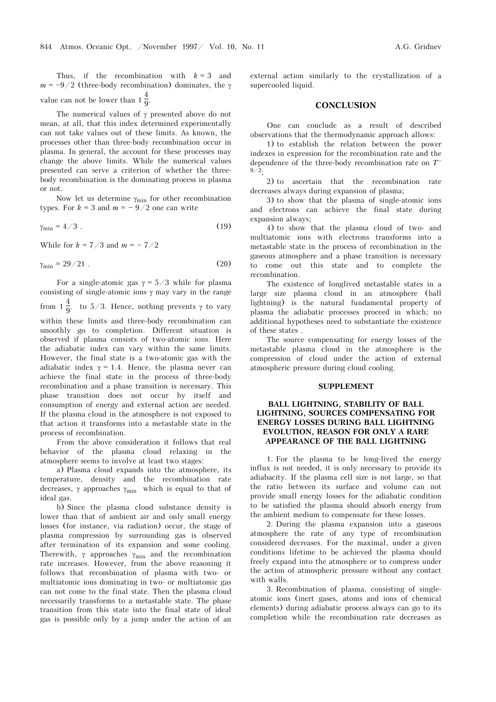Thus, if the recombination with  $k = 3$  and  $m = -9/2$  (three-body recombination) dominates, the γ value can not be lower than  $1\frac{4}{9}$ .

The numerical values of γ presented above do not mean, at all, that this index determined experimentally can not take values out of these limits. As known, the processes other than three-body recombination occur in plasma. In general, the account for these processes may change the above limits. While the numerical values presented can serve a criterion of whether the threebody recombination is the dominating process in plasma or not.

Now let us determine  $\gamma_{\text{min}}$  for other recombination types. For  $k = 3$  and  $m = -9/2$  one can write

$$
\gamma_{\min} = 4/3 \tag{19}
$$

While for  $k = 7/3$  and  $m = -7/2$ 

$$
\gamma_{\min} = 29/21 \tag{20}
$$

For a single-atomic gas  $\gamma = 5/3$  while for plasma consisting of single-atomic ions  $\gamma$  may vary in the range from  $1\frac{4}{9}$ . to  $5/3$ . Hence, nothing prevents  $\gamma$  to vary within these limits and three-body recombination can smoothly go to completion. Different situation is observed if plasma consists of two-atomic ions. Here the adiabatic index can vary within the same limits. However, the final state is a two-atomic gas with the adiabatic index  $\gamma = 1.4$ . Hence, the plasma never can achieve the final state in the process of three-body recombination and a phase transition is necessary. This phase transition does not occur by itself and consumption of energy and external action are needed. If the plasma cloud in the atmosphere is not exposed to that action it transforms into a metastable state in the process of recombination.

From the above consideration it follows that real behavior of the plasma cloud relaxing in the atmosphere seems to involve at least two stages:

a) Plasma cloud expands into the atmosphere, its temperature, density and the recombination rate decreases,  $\gamma$  approaches  $\gamma_{\text{min}}$  which is equal to that of ideal gas.

b) Since the plasma cloud substance density is lower than that of ambient air and only small energy losses (for instance, via radiation) occur, the stage of plasma compression by surrounding gas is observed after termination of its expansion and some cooling. Therewith,  $\gamma$  approaches  $\gamma_{\text{min}}$  and the recombination rate increases. However, from the above reasoning it follows that recombination of plasma with two- or multiatomic ions dominating in two- or multiatomic gas can not come to the final state. Then the plasma cloud necessarily transforms to a metastable state. The phase transition from this state into the final state of ideal gas is possible only by a jump under the action of an external action similarly to the crystallization of a supercooled liquid.

#### **CONCLUSION**

One can conclude as a result of described observations that the thermodynamic approach allows:

1) to establish the relation between the power indexes in expression for the recombination rate and the dependence of the three-body recombination rate on  $T^+$  $9/2;$ 

2) to ascertain that the recombination rate decreases always during expansion of plasma;

3) to show that the plasma of single-atomic ions and electrons can achieve the final state during expansion always;

4) to show that the plasma cloud of two- and multiatomic ions with electrons transforms into a metastable state in the process of recombination in the gaseous atmosphere and a phase transition is necessary to come out this state and to complete the recombination.

The existence of longlived metastable states in a large size plasma cloud in an atmosphere (ball lightning) is the natural fundamental property of plasma the adiabatic processes proceed in which; no additional hypotheses need to substantiate the existence of these states .

The source compensating for energy losses of the metastable plasma cloud in the atmosphere is the compression of cloud under the action of external atmospheric pressure during cloud cooling.

#### **SUPPLEMENT**

# **BALL LIGHTNING, STABILITY OF BALL LIGHTNING, SOURCES COMPENSATING FOR ENERGY LOSSES DURING BALL LIGHTNING EVOLUTION, REASON FOR ONLY A RARE APPEARANCE OF THE BALL LIGHTNING**

1. For the plasma to be long-lived the energy influx is not needed, it is only necessary to provide its adiabacity. If the plasma cell size is not large, so that the ratio between its surface and volume can not provide small energy losses for the adiabatic condition to be satisfied the plasma should absorb energy from the ambient medium to compensate for these losses.

2. During the plasma expansion into a gaseous atmosphere the rate of any type of recombination considered decreases. For the maximal, under a given conditions lifetime to be achieved the plasma should freely expand into the atmosphere or to compress under the action of atmospheric pressure without any contact with walls.

3. Recombination of plasma, consisting of singleatomic ions (inert gases, atoms and ions of chemical elements) during adiabatic process always can go to its completion while the recombination rate decreases as